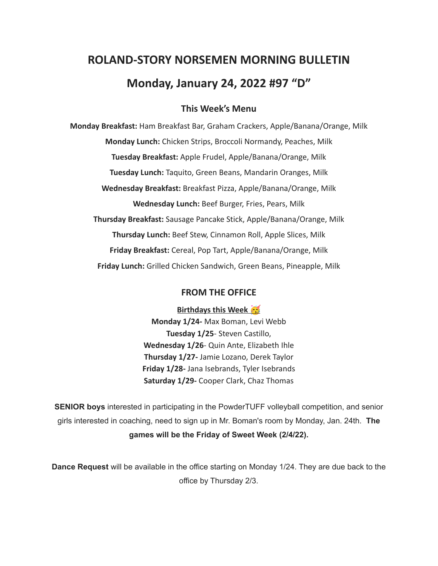# **ROLAND-STORY NORSEMEN MORNING BULLETIN Monday, January 24, 2022 #97 "D"**

## **This Week's Menu**

**Monday Breakfast:** Ham Breakfast Bar, Graham Crackers, Apple/Banana/Orange, Milk **Monday Lunch:** Chicken Strips, Broccoli Normandy, Peaches, Milk **Tuesday Breakfast:** Apple Frudel, Apple/Banana/Orange, Milk **Tuesday Lunch:** Taquito, Green Beans, Mandarin Oranges, Milk **Wednesday Breakfast:** Breakfast Pizza, Apple/Banana/Orange, Milk **Wednesday Lunch:** Beef Burger, Fries, Pears, Milk **Thursday Breakfast:** Sausage Pancake Stick, Apple/Banana/Orange, Milk **Thursday Lunch:** Beef Stew, Cinnamon Roll, Apple Slices, Milk **Friday Breakfast:** Cereal, Pop Tart, Apple/Banana/Orange, Milk **Friday Lunch:** Grilled Chicken Sandwich, Green Beans, Pineapple, Milk

## **FROM THE OFFICE**

**Birthdays this Week** 

**Monday 1/24-** Max Boman, Levi Webb **Tuesday 1/25**- Steven Castillo, **Wednesday 1/26**- Quin Ante, Elizabeth Ihle **Thursday 1/27-** Jamie Lozano, Derek Taylor **Friday 1/28-** Jana Isebrands, Tyler Isebrands **Saturday 1/29-** Cooper Clark, Chaz Thomas

**SENIOR boys** interested in participating in the PowderTUFF volleyball competition, and senior girls interested in coaching, need to sign up in Mr. Boman's room by Monday, Jan. 24th. **The games will be the Friday of Sweet Week (2/4/22).**

**Dance Request** will be available in the office starting on Monday 1/24. They are due back to the office by Thursday 2/3.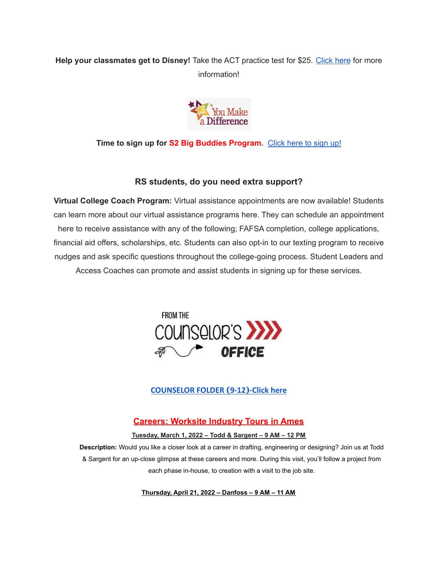## **Help your classmates get to Disney!** Take the ACT practice test for \$25. [Click](https://drive.google.com/file/d/1oPqWQ0VvsIc-NVR9cIZGWUySp5CiMbtD/view?usp=sharing) here for more information!



**Time to sign up for S2 Big Buddies Program.** [Click](https://docs.google.com/forms/d/e/1FAIpQLScEfMWk-lsFYGzpe0Yn6ky9dqYu7j6368TGcUHByQAIutY4OA/viewform?usp=sf_link) here to sign up!

## **RS students, do you need extra support?**

**Virtual College Coach Program:** Virtual assistance appointments are now available! Students can learn more about our virtual assistance programs here. They can schedule an appointment here to receive assistance with any of the following; FAFSA completion, college applications, financial aid offers, scholarships, etc. Students can also opt-in to our texting program to receive nudges and ask specific questions throughout the college-going process. Student Leaders and Access Coaches can promote and assist students in signing up for these services.



## **[COUNSELOR FOLDER](https://docs.google.com/document/d/1vmwczNPbDzXe9vFaG5LJMQ7NYDv-i4oQJHybqA65TUc/edit?usp=sharing) (9-12)-Click here**

## **Careers: Worksite Industry Tours in Ames**

#### **Tuesday, March 1, 2022 – Todd & Sargent – 9 AM – 12 PM**

**Description:** Would you like a closer look at a career in drafting, engineering or designing? Join us at Todd & Sargent for an up-close glimpse at these careers and more. During this visit, you'll follow a project from each phase in-house, to creation with a visit to the job site.

**Thursday, April 21, 2022 – Danfoss – 9 AM – 11 AM**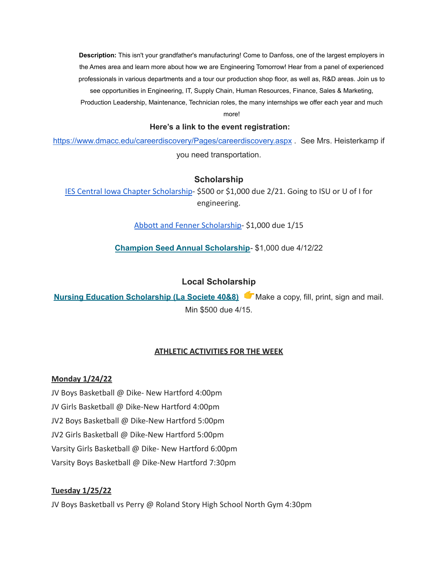**Description:** This isn't your grandfather's manufacturing! Come to Danfoss, one of the largest employers in the Ames area and learn more about how we are Engineering Tomorrow! Hear from a panel of experienced professionals in various departments and a tour our production shop floor, as well as, R&D areas. Join us to see opportunities in Engineering, IT, Supply Chain, Human Resources, Finance, Sales & Marketing, Production Leadership, Maintenance, Technician roles, the many internships we offer each year and much

more!

#### **Here's a link to the event registration:**

<https://www.dmacc.edu/careerdiscovery/Pages/careerdiscovery.aspx> . See Mrs. Heisterkamp if you need transportation.

#### **Scholarship**

[IES Central Iowa Chapter Scholarship](https://drive.google.com/file/d/1TOCO584mY9ObCqCNa6kBs_Yjrn4wPSdj/view?usp=sharing)- \$500 or \$1,000 due 2/21. Going to ISU or U of I for engineering.

[Abbott and Fenner Scholarship-](https://abbottandfenner.com/scholarships.php) \$1,000 due 1/15

**Champion Seed Annual [Scholarship](https://www.plantchampion.com/about/scholarship/)**- \$1,000 due 4/12/22

### **Local Scholarship**

**Nursing Education [Scholarship](https://docs.google.com/document/d/1xp-Gg2v_kfzzaIsmco9l2tbpQI6T93L71SJzPYrDpOA/edit?usp=sharing) (La Societe 40&8)** Make a copy, fill, print, sign and mail. Min \$500 due 4/15.

#### **ATHLETIC ACTIVITIES FOR THE WEEK**

#### **Monday 1/24/22**

JV Boys Basketball @ Dike- New Hartford 4:00pm JV Girls Basketball @ Dike-New Hartford 4:00pm JV2 Boys Basketball @ Dike-New Hartford 5:00pm JV2 Girls Basketball @ Dike-New Hartford 5:00pm Varsity Girls Basketball @ Dike- New Hartford 6:00pm Varsity Boys Basketball @ Dike-New Hartford 7:30pm

#### **Tuesday 1/25/22**

JV Boys Basketball vs Perry @ Roland Story High School North Gym 4:30pm